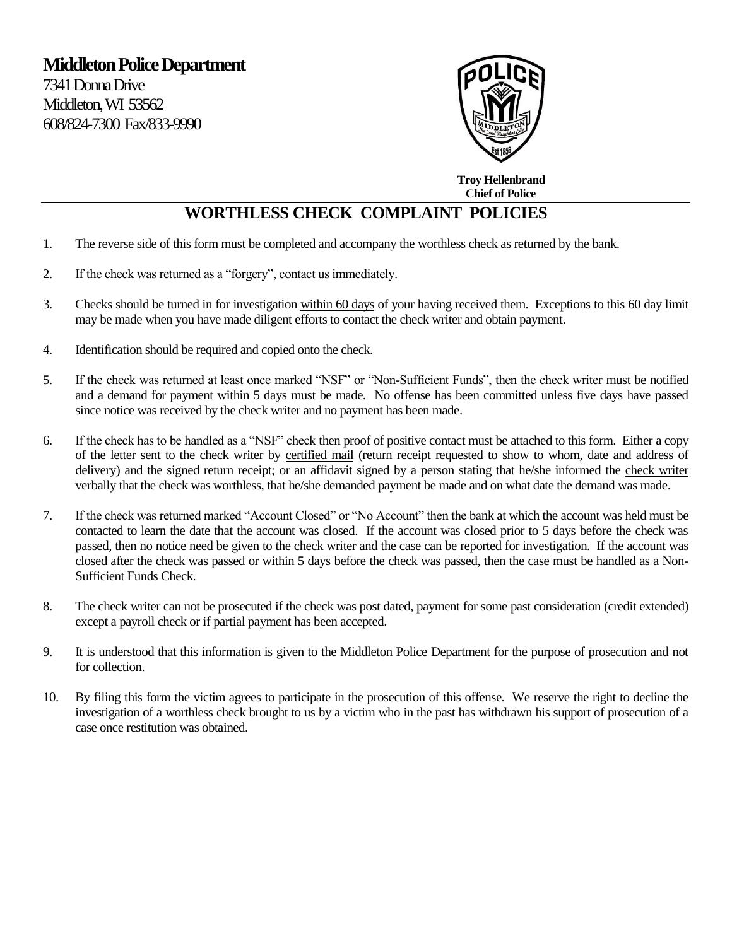

 **Troy Hellenbrand Chief of Police** 

## **WORTHLESS CHECK COMPLAINT POLICIES**

- 1. The reverse side of this form must be completed and accompany the worthless check as returned by the bank.
- 2. If the check was returned as a "forgery", contact us immediately.
- 3. Checks should be turned in for investigation within 60 days of your having received them. Exceptions to this 60 day limit may be made when you have made diligent efforts to contact the check writer and obtain payment.
- 4. Identification should be required and copied onto the check.
- 5. If the check was returned at least once marked "NSF" or "Non-Sufficient Funds", then the check writer must be notified and a demand for payment within 5 days must be made. No offense has been committed unless five days have passed since notice was received by the check writer and no payment has been made.
- 6. If the check has to be handled as a "NSF" check then proof of positive contact must be attached to this form. Either a copy of the letter sent to the check writer by certified mail (return receipt requested to show to whom, date and address of delivery) and the signed return receipt; or an affidavit signed by a person stating that he/she informed the check writer verbally that the check was worthless, that he/she demanded payment be made and on what date the demand was made.
- 7. If the check was returned marked "Account Closed" or "No Account" then the bank at which the account was held must be contacted to learn the date that the account was closed. If the account was closed prior to 5 days before the check was passed, then no notice need be given to the check writer and the case can be reported for investigation. If the account was closed after the check was passed or within 5 days before the check was passed, then the case must be handled as a Non-Sufficient Funds Check.
- 8. The check writer can not be prosecuted if the check was post dated, payment for some past consideration (credit extended) except a payroll check or if partial payment has been accepted.
- 9. It is understood that this information is given to the Middleton Police Department for the purpose of prosecution and not for collection.
- 10. By filing this form the victim agrees to participate in the prosecution of this offense. We reserve the right to decline the investigation of a worthless check brought to us by a victim who in the past has withdrawn his support of prosecution of a case once restitution was obtained.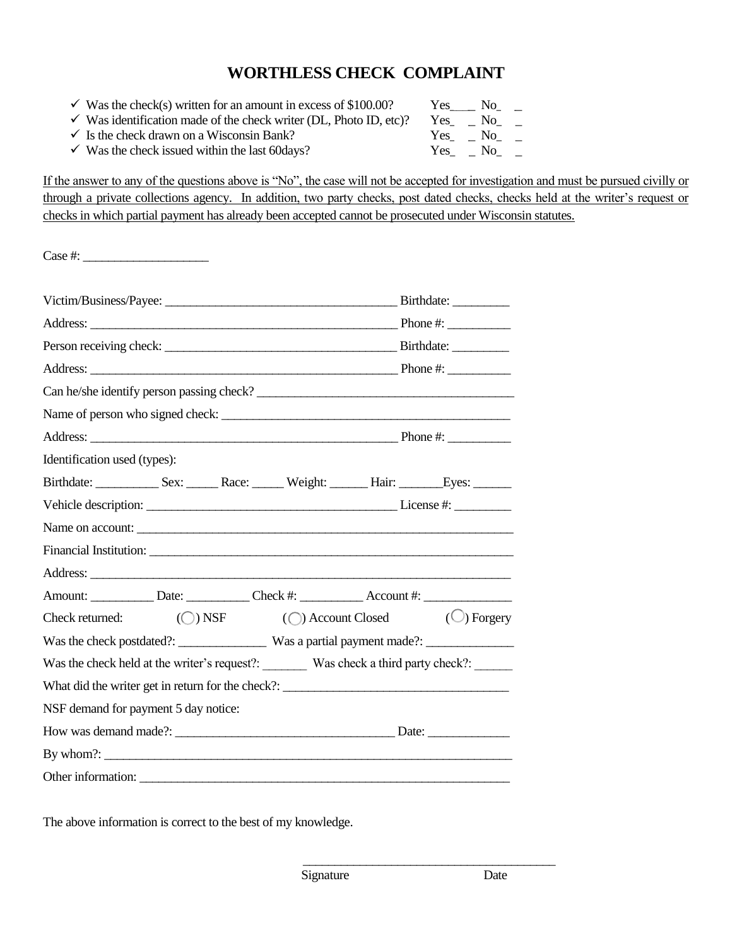## **WORTHLESS CHECK COMPLAINT**

- $\checkmark$  Was the check(s) written for an amount in excess of \$100.00? Yes No<sub>\_\_\_</sub>
- $\checkmark$  Was identification made of the check writer (DL, Photo ID, etc)? Yes\_\_\_ No\_\_\_
- $\checkmark$  Is the check drawn on a Wisconsin Bank?  $\checkmark$  Yes\_ \_ No\_\_\_
- $\checkmark$  Was the check issued within the last 60 days?  $\checkmark$  Yes\_ \_ No\_\_\_

If the answer to any of the questions above is "No", the case will not be accepted for investigation and must be pursued civilly or through a private collections agency. In addition, two party checks, post dated checks, checks held at the writer's request or checks in which partial payment has already been accepted cannot be prosecuted under Wisconsin statutes.

| $\csc \#:$                                                                          |  |  |
|-------------------------------------------------------------------------------------|--|--|
|                                                                                     |  |  |
|                                                                                     |  |  |
|                                                                                     |  |  |
|                                                                                     |  |  |
| Can he/she identify person passing check?                                           |  |  |
|                                                                                     |  |  |
|                                                                                     |  |  |
| Identification used (types):                                                        |  |  |
| Birthdate: Sex: Race: Weight: Hair: Eyes:                                           |  |  |
|                                                                                     |  |  |
|                                                                                     |  |  |
|                                                                                     |  |  |
|                                                                                     |  |  |
|                                                                                     |  |  |
| Check returned: $\bigcirc$ NSF $\bigcirc$ Account Closed $\bigcirc$ Forgery         |  |  |
| Was the check postdated?: Was a partial payment made?: _________________________    |  |  |
| Was the check held at the writer's request?: Was check a third party check?: ______ |  |  |
| What did the writer get in return for the check?:                                   |  |  |
| NSF demand for payment 5 day notice:                                                |  |  |
|                                                                                     |  |  |
| By whom $\frac{?}{?}$                                                               |  |  |
|                                                                                     |  |  |

The above information is correct to the best of my knowledge.

\_\_\_\_\_\_\_\_\_\_\_\_\_\_\_\_\_\_\_\_\_\_\_\_\_\_\_\_\_\_\_\_\_\_\_\_\_\_\_\_